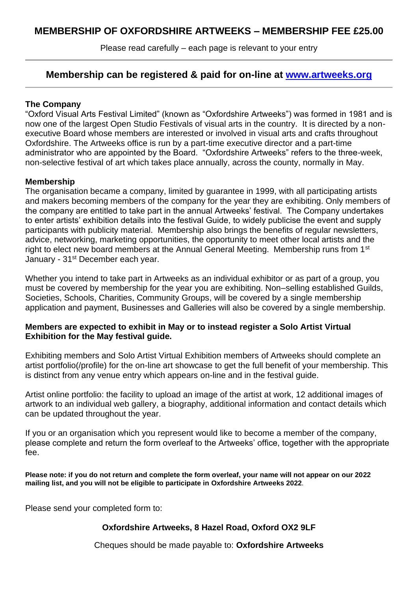Please read carefully – each page is relevant to your entry

## **Membership can be registered & paid for on-line at [www.artweeks.org](http://www.artweeks.org/)**

#### **The Company**

"Oxford Visual Arts Festival Limited" (known as "Oxfordshire Artweeks") was formed in 1981 and is now one of the largest Open Studio Festivals of visual arts in the country. It is directed by a nonexecutive Board whose members are interested or involved in visual arts and crafts throughout Oxfordshire. The Artweeks office is run by a part-time executive director and a part-time administrator who are appointed by the Board. "Oxfordshire Artweeks" refers to the three-week, non-selective festival of art which takes place annually, across the county, normally in May.

#### **Membership**

The organisation became a company, limited by guarantee in 1999, with all participating artists and makers becoming members of the company for the year they are exhibiting. Only members of the company are entitled to take part in the annual Artweeks' festival. The Company undertakes to enter artists' exhibition details into the festival Guide, to widely publicise the event and supply participants with publicity material. Membership also brings the benefits of regular newsletters, advice, networking, marketing opportunities, the opportunity to meet other local artists and the right to elect new board members at the Annual General Meeting. Membership runs from 1<sup>st</sup> January - 31<sup>st</sup> December each year.

Whether you intend to take part in Artweeks as an individual exhibitor or as part of a group, you must be covered by membership for the year you are exhibiting. Non–selling established Guilds, Societies, Schools, Charities, Community Groups, will be covered by a single membership application and payment, Businesses and Galleries will also be covered by a single membership.

#### **Members are expected to exhibit in May or to instead register a Solo Artist Virtual Exhibition for the May festival guide.**

Exhibiting members and Solo Artist Virtual Exhibition members of Artweeks should complete an artist portfolio(/profile) for the on-line art showcase to get the full benefit of your membership. This is distinct from any venue entry which appears on-line and in the festival guide.

Artist online portfolio: the facility to upload an image of the artist at work, 12 additional images of artwork to an individual web gallery, a biography, additional information and contact details which can be updated throughout the year.

If you or an organisation which you represent would like to become a member of the company, please complete and return the form overleaf to the Artweeks' office, together with the appropriate fee.

**Please note: if you do not return and complete the form overleaf, your name will not appear on our 2022 mailing list, and you will not be eligible to participate in Oxfordshire Artweeks 2022**.

Please send your completed form to:

### **Oxfordshire Artweeks, 8 Hazel Road, Oxford OX2 9LF**

Cheques should be made payable to: **Oxfordshire Artweeks**